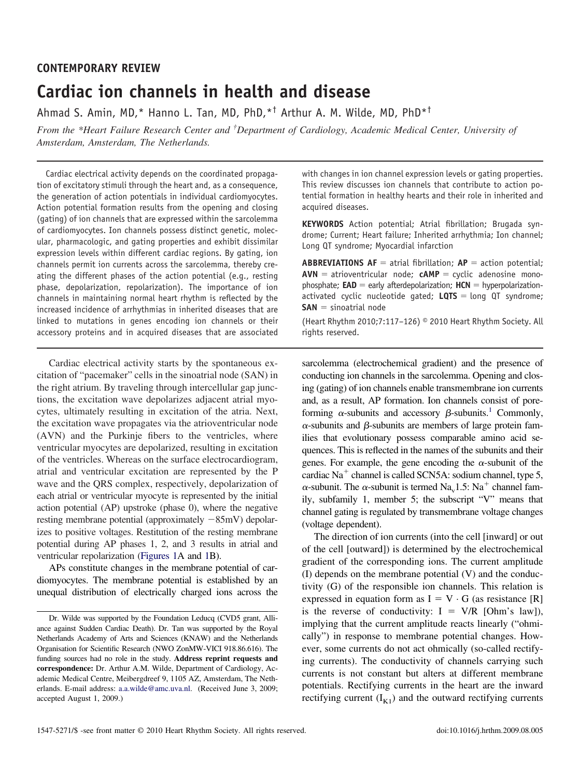# **CONTEMPORARY REVIEW Cardiac ion channels in health and disease**

Ahmad S. Amin, MD,\* Hanno L. Tan, MD, PhD,\*† Arthur A. M. Wilde, MD, PhD\*†

*From the \*Heart Failure Research Center and † Department of Cardiology, Academic Medical Center, University of Amsterdam, Amsterdam, The Netherlands.*

Cardiac electrical activity depends on the coordinated propagation of excitatory stimuli through the heart and, as a consequence, the generation of action potentials in individual cardiomyocytes. Action potential formation results from the opening and closing (gating) of ion channels that are expressed within the sarcolemma of cardiomyocytes. Ion channels possess distinct genetic, molecular, pharmacologic, and gating properties and exhibit dissimilar expression levels within different cardiac regions. By gating, ion channels permit ion currents across the sarcolemma, thereby creating the different phases of the action potential (e.g., resting phase, depolarization, repolarization). The importance of ion channels in maintaining normal heart rhythm is reflected by the increased incidence of arrhythmias in inherited diseases that are linked to mutations in genes encoding ion channels or their accessory proteins and in acquired diseases that are associated

Cardiac electrical activity starts by the spontaneous excitation of "pacemaker" cells in the sinoatrial node (SAN) in the right atrium. By traveling through intercellular gap junctions, the excitation wave depolarizes adjacent atrial myocytes, ultimately resulting in excitation of the atria. Next, the excitation wave propagates via the atrioventricular node (AVN) and the Purkinje fibers to the ventricles, where ventricular myocytes are depolarized, resulting in excitation of the ventricles. Whereas on the surface electrocardiogram, atrial and ventricular excitation are represented by the P wave and the QRS complex, respectively, depolarization of each atrial or ventricular myocyte is represented by the initial action potential (AP) upstroke (phase 0), where the negative resting membrane potential (approximately -85mV) depolarizes to positive voltages. Restitution of the resting membrane potential during AP phases 1, 2, and 3 results in atrial and ventricular repolarization [\(Figures 1A](#page-1-0) and [1B](#page-1-0)).

APs constitute changes in the membrane potential of cardiomyocytes. The membrane potential is established by an unequal distribution of electrically charged ions across the with changes in ion channel expression levels or gating properties. This review discusses ion channels that contribute to action potential formation in healthy hearts and their role in inherited and acquired diseases.

**KEYWORDS** Action potential; Atrial fibrillation; Brugada syndrome; Current; Heart failure; Inherited arrhythmia; Ion channel; Long QT syndrome; Myocardial infarction

**ABBREVIATIONS AF** = atrial fibrillation;  $AP =$  action potential;  $AVN =$  atrioventricular node;  $cAMP =$  cyclic adenosine monophosphate;  $EAD =$  early afterdepolarization;  $HCN =$  hyperpolarizationactivated cyclic nucleotide gated;  $LQTS =$  long  $QT$  syndrome;  $SAN =$  sinoatrial node

(Heart Rhythm 2010;7:117–126) © 2010 Heart Rhythm Society. All rights reserved.

sarcolemma (electrochemical gradient) and the presence of conducting ion channels in the sarcolemma. Opening and closing (gating) of ion channels enable transmembrane ion currents and, as a result, AP formation. Ion channels consist of poreforming  $\alpha$ -subunits and accessory  $\beta$ -subunits.<sup>1</sup> Commonly,  $\alpha$ -subunits and  $\beta$ -subunits are members of large protein families that evolutionary possess comparable amino acid sequences. This is reflected in the names of the subunits and their genes. For example, the gene encoding the  $\alpha$ -subunit of the cardiac  $Na<sup>+</sup>$  channel is called SCN5A: sodium channel, type 5,  $\alpha$ -subunit. The  $\alpha$ -subunit is termed Na<sub>v</sub>1.5: Na<sup>+</sup> channel family, subfamily 1, member 5; the subscript "V" means that channel gating is regulated by transmembrane voltage changes (voltage dependent).

The direction of ion currents (into the cell [inward] or out of the cell [outward]) is determined by the electrochemical gradient of the corresponding ions. The current amplitude (I) depends on the membrane potential (V) and the conductivity (G) of the responsible ion channels. This relation is expressed in equation form as  $I = V \cdot G$  (as resistance [R] is the reverse of conductivity:  $I = V/R$  [Ohm's law]), implying that the current amplitude reacts linearly ("ohmically") in response to membrane potential changes. However, some currents do not act ohmically (so-called rectifying currents). The conductivity of channels carrying such currents is not constant but alters at different membrane potentials. Rectifying currents in the heart are the inward rectifying current  $(I_{K1})$  and the outward rectifying currents

Dr. Wilde was supported by the Foundation Leducq (CVD5 grant, Alliance against Sudden Cardiac Death). Dr. Tan was supported by the Royal Netherlands Academy of Arts and Sciences (KNAW) and the Netherlands Organisation for Scientific Research (NWO ZonMW-VICI 918.86.616). The funding sources had no role in the study. **Address reprint requests and correspondence:** Dr. Arthur A.M. Wilde, Department of Cardiology, Academic Medical Centre, Meibergdreef 9, 1105 AZ, Amsterdam, The Netherlands. E-mail address: [a.a.wilde@amc.uva.nl.](mailto:a.a.wilde@amc.uva.nl) (Received June 3, 2009; accepted August 1, 2009.)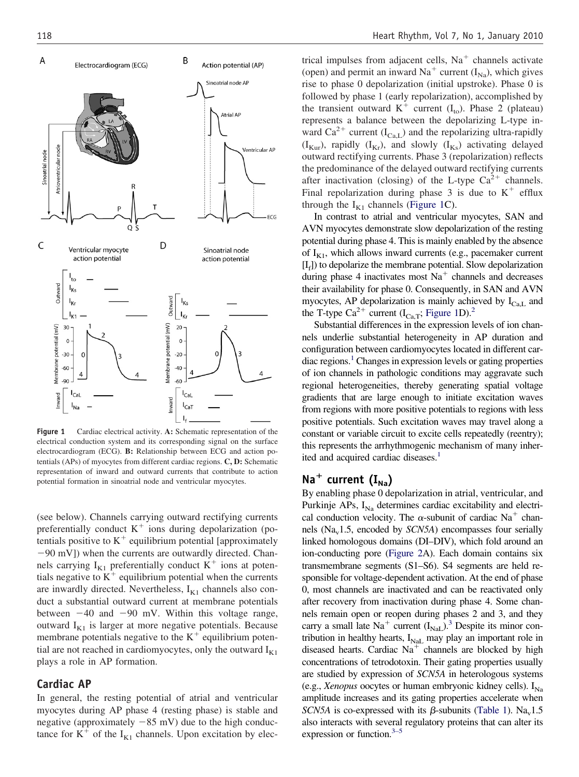<span id="page-1-0"></span>

**Figure 1** Cardiac electrical activity. **A:** Schematic representation of the electrical conduction system and its corresponding signal on the surface electrocardiogram (ECG). **B:** Relationship between ECG and action potentials (APs) of myocytes from different cardiac regions. **C, D:** Schematic representation of inward and outward currents that contribute to action potential formation in sinoatrial node and ventricular myocytes.

(see below). Channels carrying outward rectifying currents preferentially conduct  $K^+$  ions during depolarization (potentials positive to  $K^+$  equilibrium potential [approximately -90 mV]) when the currents are outwardly directed. Channels carrying  $I_{K1}$  preferentially conduct  $K^+$  ions at potentials negative to  $K^+$  equilibrium potential when the currents are inwardly directed. Nevertheless,  $I_{K1}$  channels also conduct a substantial outward current at membrane potentials between  $-40$  and  $-90$  mV. Within this voltage range, outward  $I_{K1}$  is larger at more negative potentials. Because membrane potentials negative to the  $K^+$  equilibrium potential are not reached in cardiomyocytes, only the outward  $I_{K1}$ plays a role in AP formation.

### **Cardiac AP**

In general, the resting potential of atrial and ventricular myocytes during AP phase 4 (resting phase) is stable and negative (approximately  $-85$  mV) due to the high conductance for  $K^+$  of the I<sub>K1</sub> channels. Upon excitation by electrical impulses from adjacent cells,  $Na<sup>+</sup>$  channels activate (open) and permit an inward  $Na<sup>+</sup>$  current ( $I<sub>Na</sub>$ ), which gives rise to phase 0 depolarization (initial upstroke). Phase 0 is followed by phase 1 (early repolarization), accomplished by the transient outward  $K^+$  current (I<sub>to</sub>). Phase 2 (plateau) represents a balance between the depolarizing L-type inward Ca<sup>2+</sup> current (I<sub>Ca,L</sub>) and the repolarizing ultra-rapidly  $(I_{Kur})$ , rapidly  $(I_{Kr})$ , and slowly  $(I_{Ks})$  activating delayed outward rectifying currents. Phase 3 (repolarization) reflects the predominance of the delayed outward rectifying currents after inactivation (closing) of the L-type  $Ca^{2+}$  channels. Final repolarization during phase 3 is due to  $K^+$  efflux through the  $I_{K1}$  channels (Figure 1C).

In contrast to atrial and ventricular myocytes, SAN and AVN myocytes demonstrate slow depolarization of the resting potential during phase 4. This is mainly enabled by the absence of  $I_{K1}$ , which allows inward currents (e.g., pacemaker current  $[I_f]$ ) to depolarize the membrane potential. Slow depolarization during phase 4 inactivates most  $Na<sup>+</sup>$  channels and decreases their availability for phase 0. Consequently, in SAN and AVN myocytes, AP depolarization is mainly achieved by  $I_{CaL}$  and the T-type Ca<sup>2+</sup> current (I<sub>Ca,T</sub>; Figure 1D).<sup>2</sup>

Substantial differences in the expression levels of ion channels underlie substantial heterogeneity in AP duration and configuration between cardiomyocytes located in different car- $\chi$  diac regions.<sup>1</sup> Changes in expression levels or gating properties of ion channels in pathologic conditions may aggravate such regional heterogeneities, thereby generating spatial voltage gradients that are large enough to initiate excitation waves from regions with more positive potentials to regions with less positive potentials. Such excitation waves may travel along a constant or variable circuit to excite cells repeatedly (reentry); this represents the arrhythmogenic mechanism of many inherited and acquired cardiac diseases.<sup>1</sup>

# $Na<sup>+</sup> current (I<sub>Na</sub>)$

By enabling phase 0 depolarization in atrial, ventricular, and Purkinje APs,  $I_{\text{Na}}$  determines cardiac excitability and electrical conduction velocity. The  $\alpha$ -subunit of cardiac Na<sup>+</sup> channels  $(Na<sub>v</sub>1.5, encoded by *SCN5A*) encompasses four serially$ linked homologous domains (DI–DIV), which fold around an ion-conducting pore [\(Figure 2A](#page-2-0)). Each domain contains six transmembrane segments (S1–S6). S4 segments are held responsible for voltage-dependent activation. At the end of phase 0, most channels are inactivated and can be reactivated only after recovery from inactivation during phase 4. Some channels remain open or reopen during phases 2 and 3, and they carry a small late  $Na<sup>+</sup>$  current  $(I<sub>NaL</sub>)$ .<sup>3</sup> Despite its minor contribution in healthy hearts,  $I_{\text{NaL}}$  may play an important role in diseased hearts. Cardiac  $Na<sup>+</sup>$  channels are blocked by high concentrations of tetrodotoxin. Their gating properties usually are studied by expression of *SCN5A* in heterologous systems (e.g., *Xenopus* oocytes or human embryonic kidney cells).  $I_{Na}$ amplitude increases and its gating properties accelerate when *SCN5A* is co-expressed with its  $\beta$ -subunits [\(Table 1\)](#page-2-0). Na<sub>v</sub>1.5 also interacts with several regulatory proteins that can alter its expression or function.<sup>3–5</sup>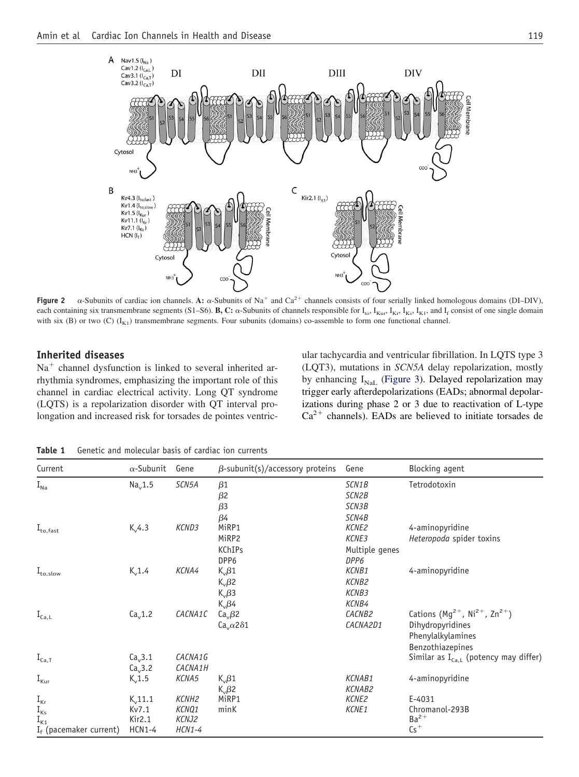<span id="page-2-0"></span>

**Figure 2**  $\alpha$ -Subunits of cardiac ion channels. **A:**  $\alpha$ -Subunits of Na<sup>+</sup> and Ca<sup>2+</sup> channels consists of four serially linked homologous domains (DI–DIV), each containing six transmembrane segments (S1–S6). **B, C:**  $\alpha$ -Subunits of channels responsible for  $I_{\text{to}}$ ,  $I_{\text{Ku}}$ ,  $I_{\text{Kv}}$ ,  $I_{\text{Kv}}$ ,  $I_{\text{Kt}}$ , and  $I_{\text{f}}$  consist of one single domain with six (B) or two (C)  $(I_{K1})$  transmembrane segments. Four subunits (domains) co-assemble to form one functional channel.

### **Inherited diseases**

 $Na<sup>+</sup>$  channel dysfunction is linked to several inherited arrhythmia syndromes, emphasizing the important role of this channel in cardiac electrical activity. Long QT syndrome (LQTS) is a repolarization disorder with QT interval prolongation and increased risk for torsades de pointes ventric-

ular tachycardia and ventricular fibrillation. In LQTS type 3 (LQT3), mutations in *SCN5A* delay repolarization, mostly by enhancing  $I_{\text{NaL}}$  [\(Figure 3\)](#page-3-0). Delayed repolarization may trigger early afterdepolarizations (EADs; abnormal depolarizations during phase 2 or 3 due to reactivation of L-type  $Ca<sup>2+</sup>$  channels). EADs are believed to initiate torsades de

**Table 1** Genetic and molecular basis of cardiac ion currents

| Current                       | $\alpha$ -Subunit   | Gene              | $\beta$ -subunit(s)/accessory proteins | Gene           | Blocking agent                                              |
|-------------------------------|---------------------|-------------------|----------------------------------------|----------------|-------------------------------------------------------------|
| $I_{\text{Na}}$               | Na <sub>v</sub> 1.5 | SCN5A             | $\beta$ 1                              | SCN1B          | Tetrodotoxin                                                |
|                               |                     |                   | $\beta$ 2                              | SCN2B          |                                                             |
|                               |                     |                   | $\beta$ 3                              | SCN3B          |                                                             |
|                               |                     |                   | $\beta$ 4                              | SCN4B          |                                                             |
| $\mathrm{I}_{\text{to,fast}}$ | $K_v 4.3$           | KCND3             | MiRP1                                  | KCNE2          | 4-aminopyridine                                             |
|                               |                     |                   | MiRP2                                  | KCNE3          | Heteropoda spider toxins                                    |
|                               |                     |                   | <b>KChIPs</b>                          | Multiple genes |                                                             |
|                               |                     |                   | DPP6                                   | DPP6           |                                                             |
| $\mathrm{I}_{\text{to,slow}}$ | $K_v$ 1.4           | KCNA4             | $K_v\beta1$                            | KCNB1          | 4-aminopyridine                                             |
|                               |                     |                   | $K_v\beta$ 2                           | KCNB2          |                                                             |
|                               |                     |                   | $K_v\beta3$                            | KCNB3          |                                                             |
|                               |                     |                   | $K_v\beta4$                            | KCNB4          |                                                             |
| $I_{Ca,L}$                    | Ca <sub>v</sub> 1.2 | CACNA1C           | $Cav \beta$ 2                          | CACNB2         | Cations ( $Mg^{2+}$ , Ni <sup>2+</sup> , Zn <sup>2+</sup> ) |
|                               |                     |                   | $Cav \alpha 2\delta 1$                 | CACNA2D1       | Dihydropyridines                                            |
|                               |                     |                   |                                        |                | Phenylalkylamines                                           |
|                               |                     |                   |                                        |                | Benzothiazepines                                            |
| $I_{Ca,T}$                    | Ca <sub>v</sub> 3.1 | CACNA1G           |                                        |                | Similar as $I_{Ca,L}$ (potency may differ)                  |
|                               | Ca <sub>v</sub> 3.2 | CACNA1H           |                                        |                |                                                             |
| $I_{\text{kur}}$              | $K_v$ 1.5           | KCNA5             | $K_v\beta1$                            | KCNAB1         | 4-aminopyridine                                             |
|                               |                     |                   | $K_v\beta$ 2                           | KCNAB2         |                                                             |
| $I_{\text{Kr}}$               | $K_v$ 11.1          | KCNH <sub>2</sub> | MiRP1                                  | KCNE2          | E-4031                                                      |
| $I_{\text{Ks}}$               | Kv7.1               | KCNQ1             | minK                                   | KCNE1          | Chromanol-293B                                              |
| $\mathbf{I}_{\mathsf{K1}}$    | Kir2.1              | KCNJ2             |                                        |                | $Ba2+$                                                      |
| $I_f$ (pacemaker current)     | HCN1-4              | HCN1-4            |                                        |                | $Cs+$                                                       |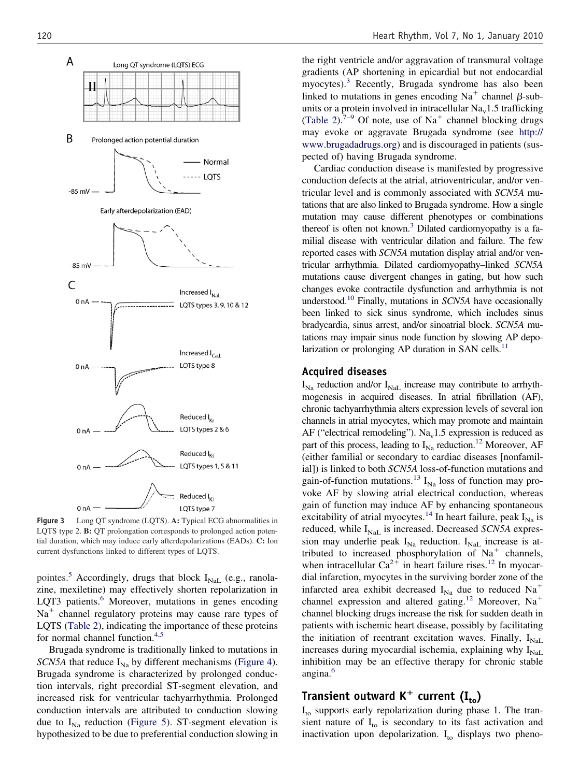<span id="page-3-0"></span>

**Figure 3** Long QT syndrome (LQTS). **A:** Typical ECG abnormalities in LQTS type 2. **B:** QT prolongation corresponds to prolonged action potential duration, which may induce early afterdepolarizations (EADs). **C:** Ion current dysfunctions linked to different types of LQTS.

pointes.<sup>[5](#page-9-0)</sup> Accordingly, drugs that block  $I_{\text{NaL}}$  (e.g., ranolazine, mexiletine) may effectively shorten repolarization in LQT3 patients.<sup>6</sup> Moreover, mutations in genes encoding  $Na<sup>+</sup>$  channel regulatory proteins may cause rare types of LQTS [\(Table 2\)](#page-4-0), indicating the importance of these proteins for normal channel function.<sup>[4,5](#page-9-0)</sup>

Brugada syndrome is traditionally linked to mutations in *SCN5A* that reduce  $I_{\text{Na}}$  by different mechanisms [\(Figure 4\)](#page-5-0). Brugada syndrome is characterized by prolonged conduction intervals, right precordial ST-segment elevation, and increased risk for ventricular tachyarrhythmia. Prolonged conduction intervals are attributed to conduction slowing due to  $I_{Na}$  reduction [\(Figure 5\)](#page-6-0). ST-segment elevation is hypothesized to be due to preferential conduction slowing in

the right ventricle and/or aggravation of transmural voltage gradients (AP shortening in epicardial but not endocardial myocytes)[.3](#page-9-0) Recently, Brugada syndrome has also been linked to mutations in genes encoding Na<sup>+</sup> channel  $\beta$ -subunits or a protein involved in intracellular  $Na<sub>v</sub>1.5$  trafficking [\(Table 2\)](#page-4-0).<sup>7–9</sup> Of note, use of Na<sup>+</sup> channel blocking drugs may evoke or aggravate Brugada syndrome (see [http://](http://www.brugadadrugs.org) [www.brugadadrugs.org\)](http://www.brugadadrugs.org) and is discouraged in patients (suspected of) having Brugada syndrome.

Cardiac conduction disease is manifested by progressive conduction defects at the atrial, atrioventricular, and/or ventricular level and is commonly associated with *SCN5A* mutations that are also linked to Brugada syndrome. How a single mutation may cause different phenotypes or combinations thereof is often not known.<sup>3</sup> Dilated cardiomyopathy is a familial disease with ventricular dilation and failure. The few reported cases with *SCN5A* mutation display atrial and/or ventricular arrhythmia. Dilated cardiomyopathy–linked *SCN5A* mutations cause divergent changes in gating, but how such changes evoke contractile dysfunction and arrhythmia is not understood[.10](#page-9-0) Finally, mutations in *SCN5A* have occasionally been linked to sick sinus syndrome, which includes sinus bradycardia, sinus arrest, and/or sinoatrial block. *SCN5A* mutations may impair sinus node function by slowing AP depolarization or prolonging AP duration in SAN cells.<sup>11</sup>

### **Acquired diseases**

 $I_{\text{Na}}$  reduction and/or  $I_{\text{NaL}}$  increase may contribute to arrhythmogenesis in acquired diseases. In atrial fibrillation (AF), chronic tachyarrhythmia alters expression levels of several ion channels in atrial myocytes, which may promote and maintain AF ("electrical remodeling"). Na<sub>v</sub>1.5 expression is reduced as part of this process, leading to  $I_{\text{Na}}$  reduction.<sup>12</sup> Moreover, AF (either familial or secondary to cardiac diseases [nonfamilial]) is linked to both *SCN5A* loss-of-function mutations and gain-of-function mutations.<sup>[13](#page-9-0)</sup>  $I_{N_a}$  loss of function may provoke AF by slowing atrial electrical conduction, whereas gain of function may induce AF by enhancing spontaneous excitability of atrial myocytes.<sup>[14](#page-9-0)</sup> In heart failure, peak  $I_{Na}$  is reduced, while I<sub>NaL</sub> is increased. Decreased *SCN5A* expression may underlie peak  $I_{Na}$  reduction.  $I_{Na}$  increase is attributed to increased phosphorylation of  $Na<sup>+</sup>$  channels, when intracellular  $Ca^{2+}$  in heart failure rises.<sup>12</sup> In myocardial infarction, myocytes in the surviving border zone of the infarcted area exhibit decreased  $I_{Na}$  due to reduced  $Na^+$ channel expression and altered gating.<sup>[12](#page-9-0)</sup> Moreover, Na<sup>+</sup> channel blocking drugs increase the risk for sudden death in patients with ischemic heart disease, possibly by facilitating the initiation of reentrant excitation waves. Finally,  $I_{\text{NaL}}$ increases during myocardial ischemia, explaining why  $I_{\text{NaL}}$ inhibition may be an effective therapy for chronic stable angina.<sup>[6](#page-9-0)</sup>

# **Transient outward K<sup>+</sup> current (I<sub>to</sub>)**

 $I_{\text{to}}$  supports early repolarization during phase 1. The transient nature of  $I_{\text{to}}$  is secondary to its fast activation and inactivation upon depolarization.  $I_{\text{to}}$  displays two pheno-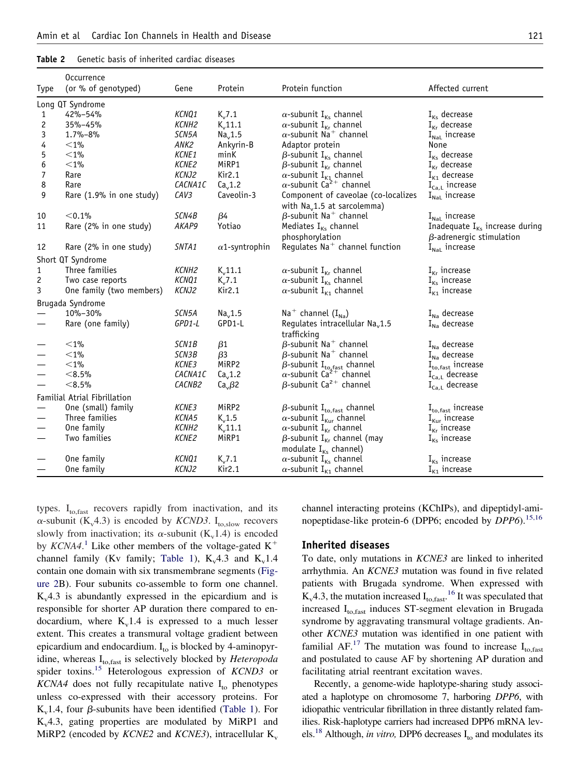#### <span id="page-4-0"></span>**Table 2** Genetic basis of inherited cardiac diseases

|                   | Occurrence                   |                  |                       |                                                                                         |                                           |  |  |
|-------------------|------------------------------|------------------|-----------------------|-----------------------------------------------------------------------------------------|-------------------------------------------|--|--|
| Type              | (or % of genotyped)          | Gene             | Protein               | Protein function                                                                        | Affected current                          |  |  |
|                   | Long QT Syndrome             |                  |                       |                                                                                         |                                           |  |  |
| 1                 | 42%-54%                      | KCNQ1            | $K_v$ 7.1             | $\alpha$ -subunit I <sub>Ks</sub> channel                                               | $I_{\text{Ks}}$ decrease                  |  |  |
| 2                 | 35%-45%                      | KCNH2            | $K_v$ 11.1            | $\alpha$ -subunit I <sub>Kr</sub> channel                                               | $I_{Kr}$ decrease                         |  |  |
| 3                 | 1.7%-8%                      | SCN5A            | Na <sub>v</sub> 1.5   | $\alpha$ -subunit Na <sup>+</sup> channel                                               | $I_{\text{NaL}}$ increase                 |  |  |
| 4                 | $<$ 1%                       | ANK2             | Ankyrin-B             | Adaptor protein                                                                         | None                                      |  |  |
| 5                 | $<$ 1%                       | KCNE1            | minK                  | $\beta$ -subunit I <sub>Ks</sub> channel                                                | $I_{\text{Ks}}$ decrease                  |  |  |
| 6                 | $<$ 1%                       | KCNE2            | MiRP1                 | $\beta$ -subunit I <sub>Kr</sub> channel                                                | $I_{Kr}$ decrease                         |  |  |
| 7                 | Rare                         | KCNJ2            | Kir2.1                |                                                                                         | $I_{K1}$ decrease                         |  |  |
| 8                 | Rare                         | <i>CACNA1C</i>   | Ca <sub>v</sub> 1.2   | $\alpha$ -subunit I <sub>K1</sub> channel<br>$\alpha$ -subunit Ca <sup>2+</sup> channel | $I_{Ca,L}$ increase                       |  |  |
| 9                 | Rare (1.9% in one study)     | CAV <sub>3</sub> | Caveolin-3            | Component of caveolae (co-localizes<br>with Na <sub>v</sub> 1.5 at sarcolemma)          | $I_{\text{NaL}}$ increase                 |  |  |
| 10                | < 0.1%                       | SCN4B            | $\beta$ 4             | $\beta$ -subunit Na <sup>+</sup> channel                                                | $I_{\text{Nat}}$ increase                 |  |  |
| 11                | Rare (2% in one study)       | AKAP9            | Yotiao                | Mediates $I_{\text{Ks}}$ channel                                                        | Inadequate $I_{\kappa s}$ increase during |  |  |
|                   |                              |                  |                       | phosphorylation                                                                         | $\beta$ -adrenergic stimulation           |  |  |
| 12                | Rare (2% in one study)       | SNTA1            | $\alpha$ 1-syntrophin | Regulates Na <sup>+</sup> channel function                                              | $I_{\text{Nal}}$ increase                 |  |  |
|                   | Short QT Syndrome            |                  |                       |                                                                                         |                                           |  |  |
| 1                 | Three families               | KCNH2            | $K_v$ 11.1            | $\alpha$ -subunit I <sub>Kr</sub> channel                                               | $I_{Kr}$ increase                         |  |  |
| 2                 | Two case reports             | KCNQ1            | $K_v$ 7.1             | $\alpha$ -subunit I <sub>Ks</sub> channel                                               | $I_{\kappa s}$ increase                   |  |  |
| 3                 | One family (two members)     | KCNJ2            | Kir2.1                | $\alpha$ -subunit I <sub>K1</sub> channel                                               | $I_{K1}$ increase                         |  |  |
|                   | Brugada Syndrome             |                  |                       |                                                                                         |                                           |  |  |
|                   | 10%-30%                      | SCN5A            | Na <sub>v</sub> 1.5   | Na <sup>+</sup> channel $(I_{Na})$                                                      | $I_{\text{Na}}$ decrease                  |  |  |
|                   | Rare (one family)            | GPD1-L           | GPD1-L                | Regulates intracellular Na <sub>v</sub> 1.5<br>trafficking                              | $I_{Na}$ decrease                         |  |  |
|                   | $<$ 1%                       | SCN1B            | $\beta$ 1             | $\beta$ -subunit Na <sup>+</sup> channel                                                | $I_{\text{Na}}$ decrease                  |  |  |
|                   | $<$ 1%                       | SCN3B            | $\beta$ 3             | $\beta$ -subunit Na <sup>+</sup> channel                                                | $I_{\text{Na}}$ decrease                  |  |  |
|                   | $<$ 1%                       | KCNE3            | MiRP2                 | $\beta$ -subunit I <sub>to, fast</sub> channel                                          | $I_{\text{to,fast}}$ increase             |  |  |
|                   | < 8.5%                       | CACNA1C          | Ca <sub>v</sub> 1.2   | $\alpha$ -subunit Ca <sup>2+</sup> channel                                              | $I_{Ca,L}$ decrease                       |  |  |
|                   | < 8.5%                       | CACNB2           | Ca <sub>v</sub> B2    | $\beta$ -subunit Ca <sup>2+</sup> channel                                               | $I_{Ca,L}$ decrease                       |  |  |
|                   | Familial Atrial Fibrillation |                  |                       |                                                                                         |                                           |  |  |
|                   | One (small) family           | KCNE3            | MiRP2                 | $\beta$ -subunit I <sub>to, fast</sub> channel                                          | $I_{\text{to,fast}}$ increase             |  |  |
|                   | Three families               | KCNA5            | $K_v$ 1.5             | $\alpha$ -subunit I <sub>Kur</sub> channel                                              | $I_{\text{Kur}}$ increase                 |  |  |
|                   | One family                   | KCNH2            | $K_v$ 11.1            | $\alpha$ -subunit I <sub>Kr</sub> channel                                               | $I_{\kappa r}$ increase                   |  |  |
| $\hspace{0.05cm}$ | Two families                 | KCNE2            | MiRP1                 | $\beta$ -subunit I <sub>Kr</sub> channel (may                                           | $I_{\text{Ks}}$ increase                  |  |  |
|                   |                              |                  |                       | modulate I <sub>Ks</sub> channel)                                                       |                                           |  |  |
|                   | One family                   | KCNQ1            | $K_v$ 7.1             | $\alpha$ -subunit I <sub>Ks</sub> channel                                               | $I_{\kappa s}$ increase                   |  |  |
|                   | One family                   | KCNJ2            | Kir2.1                | $\alpha$ -subunit I <sub>K1</sub> channel                                               | $I_{K1}$ increase                         |  |  |
|                   |                              |                  |                       |                                                                                         |                                           |  |  |

types.  $I_{\text{to,fast}}$  recovers rapidly from inactivation, and its  $\alpha$ -subunit (K<sub>v</sub>4.3) is encoded by *KCND3*. I<sub>to,slow</sub> recovers slowly from inactivation; its  $\alpha$ -subunit (K<sub>v</sub>1.4) is encoded by *KCNA4*.<sup>[1](#page-9-0)</sup> Like other members of the voltage-gated  $K^+$ channel family (Kv family; [Table 1\)](#page-2-0),  $K_v4.3$  and  $K_v1.4$ contain one domain with six transmembrane segments [\(Fig](#page-2-0)[ure 2B](#page-2-0)). Four subunits co-assemble to form one channel.  $K_v4.3$  is abundantly expressed in the epicardium and is responsible for shorter AP duration there compared to endocardium, where  $K_v1.4$  is expressed to a much lesser extent. This creates a transmural voltage gradient between epicardium and endocardium.  $I_{\text{to}}$  is blocked by 4-aminopyridine, whereas I<sub>to,fast</sub> is selectively blocked by *Heteropoda* spider toxins.[15](#page-9-0) Heterologous expression of *KCND3* or  $KCNA4$  does not fully recapitulate native  $I_{\text{to}}$  phenotypes unless co-expressed with their accessory proteins. For  $K_v$ 1.4, four  $\beta$ -subunits have been identified [\(Table 1\)](#page-2-0). For  $K_v4.3$ , gating properties are modulated by MiRP1 and MiRP2 (encoded by *KCNE2* and *KCNE3*), intracellular  $K_v$ 

channel interacting proteins (KChIPs), and dipeptidyl-aminopeptidase-like protein-6 (DPP6; encoded by *DPP6*).<sup>[15,16](#page-9-0)</sup>

#### **Inherited diseases**

To date, only mutations in *KCNE3* are linked to inherited arrhythmia. An *KCNE3* mutation was found in five related patients with Brugada syndrome. When expressed with  $K_v$ 4.3, the mutation increased  $I_{\text{to,fast}}$ <sup>[16](#page-9-0)</sup> It was speculated that increased  $I_{to,fast}$  induces ST-segment elevation in Brugada syndrome by aggravating transmural voltage gradients. Another *KCNE3* mutation was identified in one patient with familial AF.<sup>17</sup> The mutation was found to increase  $I_{\text{to,fast}}$ and postulated to cause AF by shortening AP duration and facilitating atrial reentrant excitation waves.

Recently, a genome-wide haplotype-sharing study associated a haplotype on chromosome 7, harboring *DPP6*, with idiopathic ventricular fibrillation in three distantly related families. Risk-haplotype carriers had increased DPP6 mRNA levels.<sup>18</sup> Although, *in vitro*, DPP6 decreases  $I_{\text{to}}$  and modulates its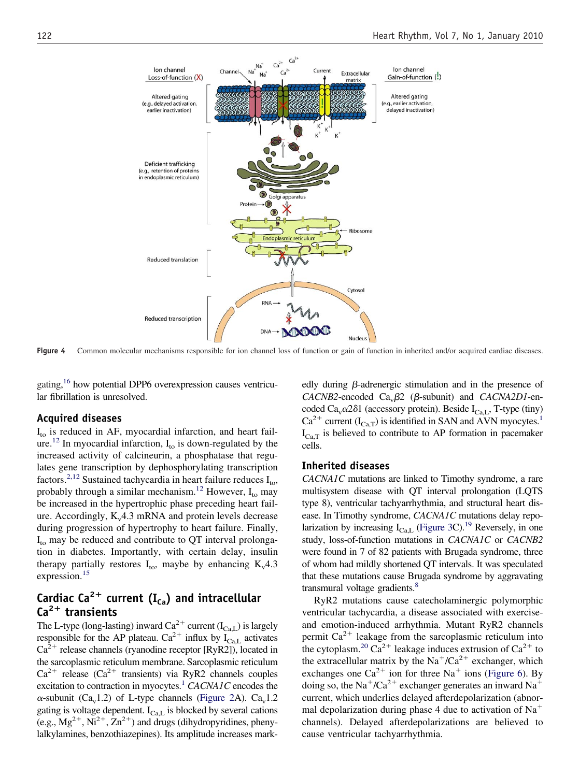<span id="page-5-0"></span>

Figure 4 Common molecular mechanisms responsible for ion channel loss of function or gain of function in inherited and/or acquired cardiac diseases.

gating,<sup>16</sup> how potential DPP6 overexpression causes ventricular fibrillation is unresolved.

### **Acquired diseases**

 $I_{\text{to}}$  is reduced in AF, myocardial infarction, and heart failure.<sup>12</sup> In myocardial infarction,  $I_{\text{to}}$  is down-regulated by the increased activity of calcineurin, a phosphatase that regulates gene transcription by dephosphorylating transcription factors.<sup>[2,12](#page-9-0)</sup> Sustained tachycardia in heart failure reduces  $I_{\text{to}}$ , probably through a similar mechanism.<sup>[12](#page-9-0)</sup> However,  $I_{\text{to}}$  may be increased in the hypertrophic phase preceding heart failure. Accordingly,  $K_v4.3$  mRNA and protein levels decrease during progression of hypertrophy to heart failure. Finally,  $I_{\text{to}}$  may be reduced and contribute to QT interval prolongation in diabetes. Importantly, with certain delay, insulin therapy partially restores  $I_{\text{to}}$ , maybe by enhancing  $K_v4.3$ expression.<sup>15</sup>

# **Cardiac Ca<sup>2+</sup> current (I<sub>Ca</sub>) and intracellular Ca2 transients**

The L-type (long-lasting) inward  $Ca^{2+}$  current (I<sub>Ca,L</sub>) is largely responsible for the AP plateau.  $Ca^{2+}$  influx by  $I_{Ca,L}$  activates  $Ca^{2+}$  release channels (ryanodine receptor [RyR2]), located in the sarcoplasmic reticulum membrane. Sarcoplasmic reticulum  $Ca^{2+}$  release ( $Ca^{2+}$  transients) via RyR2 channels couples excitation to contraction in myocytes.<sup>1</sup> *CACNA1C* encodes the  $\alpha$ -subunit (Ca<sub>v</sub>1.2) of L-type channels [\(Figure 2A](#page-2-0)). Ca<sub>v</sub>1.2 gating is voltage dependent.  $I_{Ca,L}$  is blocked by several cations (e.g.,  $Mg^{2+}$ ,  $Ni^{2+}$ ,  $Zn^{2+}$ ) and drugs (dihydropyridines, phenylalkylamines, benzothiazepines). Its amplitude increases mark-

edly during  $\beta$ -adrenergic stimulation and in the presence of  $CACNB2$ -encoded  $Ca_v\beta2$  ( $\beta$ -subunit) and *CACNA2D1*-encoded Ca<sub>v</sub> $\alpha$ 2 $\delta$ 1 (accessory protein). Beside I<sub>Ca,L</sub>, T-type (tiny)  $Ca^{2+}$  current ( $I_{Ca,T}$ ) is identified in SAN and AVN myocytes.<sup>1</sup>  $I_{\text{CaT}}$  is believed to contribute to AP formation in pacemaker cells.

#### **Inherited diseases**

*CACNA1C* mutations are linked to Timothy syndrome, a rare multisystem disease with QT interval prolongation (LQTS type 8), ventricular tachyarrhythmia, and structural heart disease. In Timothy syndrome, *CACNA1C* mutations delay repolarization by increasing  $I_{CaL}$  [\(Figure 3C](#page-3-0)).<sup>19</sup> Reversely, in one study, loss-of-function mutations in *CACNA1C* or *CACNB2* were found in 7 of 82 patients with Brugada syndrome, three of whom had mildly shortened QT intervals. It was speculated that these mutations cause Brugada syndrome by aggravating transmural voltage gradients.<sup>8</sup>

RyR2 mutations cause catecholaminergic polymorphic ventricular tachycardia, a disease associated with exerciseand emotion-induced arrhythmia. Mutant RyR2 channels permit  $Ca^{2+}$  leakage from the sarcoplasmic reticulum into the cytoplasm.<sup>20</sup> Ca<sup>2+</sup> leakage induces extrusion of Ca<sup>2+</sup> to the extracellular matrix by the Na<sup>+</sup>/Ca<sup>2+</sup> exchanger, which exchanges one  $Ca^{2+}$  ion for three Na<sup>+</sup> ions [\(Figure 6\)](#page-6-0). By doing so, the Na<sup>+</sup>/Ca<sup>2+</sup> exchanger generates an inward Na<sup>+</sup> current, which underlies delayed afterdepolarization (abnormal depolarization during phase 4 due to activation of  $Na<sup>+</sup>$ channels). Delayed afterdepolarizations are believed to cause ventricular tachyarrhythmia.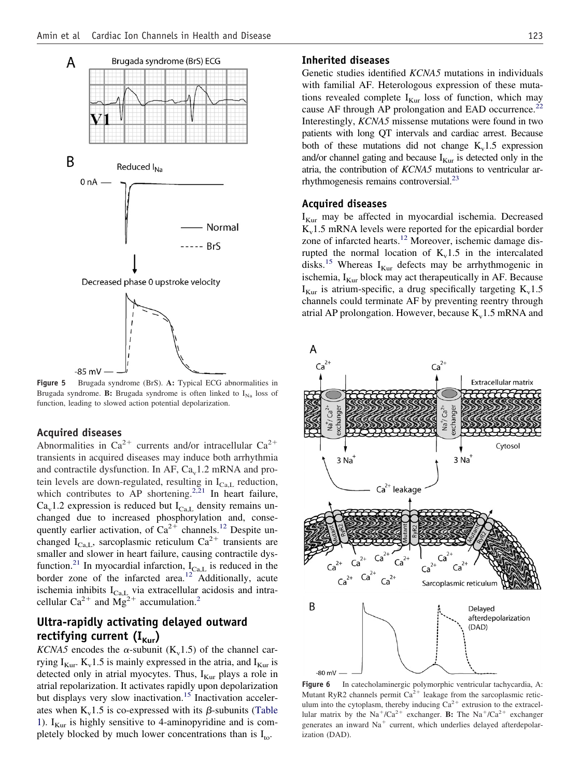<span id="page-6-0"></span>

**Figure 5** Brugada syndrome (BrS). **A:** Typical ECG abnormalities in Brugada syndrome. **B:** Brugada syndrome is often linked to  $I_{Na}$  loss of function, leading to slowed action potential depolarization.

### **Acquired diseases**

Abnormalities in Ca<sup>2+</sup> currents and/or intracellular Ca<sup>2+</sup> transients in acquired diseases may induce both arrhythmia and contractile dysfunction. In AF,  $Ca<sub>v</sub>1.2$  mRNA and protein levels are down-regulated, resulting in  $I_{Ca,L}$  reduction, which contributes to AP shortening.<sup>2,21</sup> In heart failure,  $Ca<sub>v</sub>1.2$  expression is reduced but  $I<sub>Ca,L</sub>$  density remains unchanged due to increased phosphorylation and, consequently earlier activation, of  $Ca^{2+}$  channels.<sup>[12](#page-9-0)</sup> Despite unchanged  $I_{Ca, L}$ , sarcoplasmic reticulum  $Ca^{2+}$  transients are smaller and slower in heart failure, causing contractile dys-function.<sup>[21](#page-9-0)</sup> In myocardial infarction,  $I_{Ca,L}$  is reduced in the border zone of the infarcted area.<sup>12</sup> Additionally, acute ischemia inhibits  $I_{Ca,L}$  via extracellular acidosis and intra-cellular Ca<sup>[2](#page-9-0)+</sup> and  $Mg^{2+}$  accumulation.<sup>2</sup>

# **Ultra-rapidly activating delayed outward** rectifying current (I<sub>Kur</sub>)

*KCNA5* encodes the  $\alpha$ -subunit (K<sub>v</sub>1.5) of the channel carrying  $I_{Kur}$ .  $K_v$ 1.5 is mainly expressed in the atria, and  $I_{Kur}$  is detected only in atrial myocytes. Thus,  $I_{Kur}$  plays a role in atrial repolarization. It activates rapidly upon depolarization but displays very slow inactivation.<sup>15</sup> Inactivation accelerates when  $K_v 1.5$  is co-expressed with its  $\beta$ -subunits [\(Table](#page-2-0) [1\)](#page-2-0).  $I_{Kur}$  is highly sensitive to 4-aminopyridine and is completely blocked by much lower concentrations than is  $I_{\text{to}}$ .

### **Inherited diseases**

Genetic studies identified *KCNA5* mutations in individuals with familial AF. Heterologous expression of these mutations revealed complete  $I_{Kur}$  loss of function, which may cause AF through AP prolongation and EAD occurrence.<sup>22</sup> Interestingly, *KCNA5* missense mutations were found in two patients with long QT intervals and cardiac arrest. Because both of these mutations did not change  $K_v$ 1.5 expression and/or channel gating and because  $I_{Kur}$  is detected only in the atria, the contribution of *KCNA5* mutations to ventricular arrhythmogenesis remains controversial[.23](#page-9-0)

#### **Acquired diseases**

 $I_{Kur}$  may be affected in myocardial ischemia. Decreased  $K_v$ 1.5 mRNA levels were reported for the epicardial border zone of infarcted hearts.<sup>12</sup> Moreover, ischemic damage disrupted the normal location of  $K_v 1.5$  in the intercalated disks.<sup>[15](#page-9-0)</sup> Whereas  $I_{Kur}$  defects may be arrhythmogenic in ischemia,  $I_{Kur}$  block may act therapeutically in AF. Because  $I_{Kur}$  is atrium-specific, a drug specifically targeting  $K_v$ 1.5 channels could terminate AF by preventing reentry through atrial AP prolongation. However, because  $K_v1.5$  mRNA and



**Figure 6** In catecholaminergic polymorphic ventricular tachycardia, A: Mutant RyR2 channels permit  $Ca^{2+}$  leakage from the sarcoplasmic reticulum into the cytoplasm, thereby inducing  $Ca^{2+}$  extrusion to the extracellular matrix by the  $Na^+/Ca^{2+}$  exchanger. **B:** The  $Na^+/Ca^{2+}$  exchanger generates an inward  $Na<sup>+</sup>$  current, which underlies delayed afterdepolarization (DAD).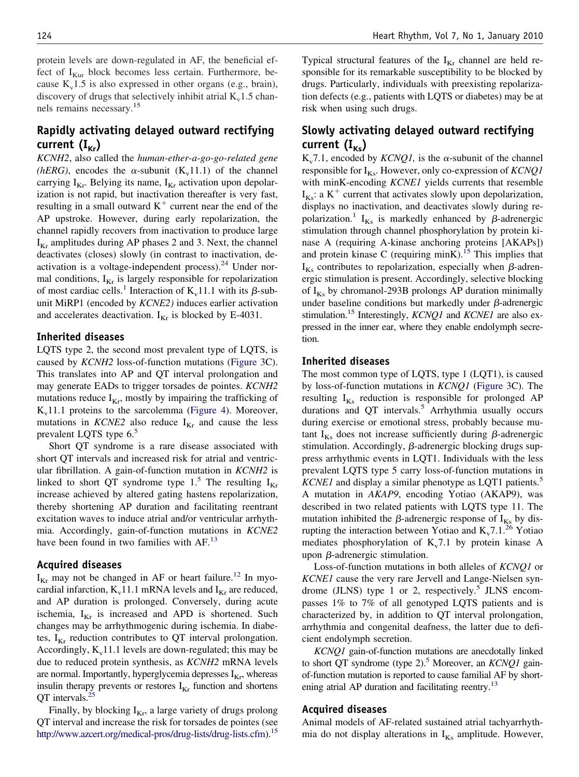protein levels are down-regulated in AF, the beneficial effect of  $I_{Kur}$  block becomes less certain. Furthermore, because  $K_v$ 1.5 is also expressed in other organs (e.g., brain), discovery of drugs that selectively inhibit atrial  $K_v$ 1.5 channels remains necessary[.15](#page-9-0)

# **Rapidly activating delayed outward rectifying** current  $(I_{\kappa r})$

*KCNH2*, also called the *human-ether-a-go-go-related gene (hERG)*, encodes the  $\alpha$ -subunit (K<sub>v</sub>11.1) of the channel carrying  $I_{Kr}$ . Belying its name,  $I_{Kr}$  activation upon depolarization is not rapid, but inactivation thereafter is very fast, resulting in a small outward  $K^+$  current near the end of the AP upstroke. However, during early repolarization, the channel rapidly recovers from inactivation to produce large  $I_{K_r}$  amplitudes during AP phases 2 and 3. Next, the channel deactivates (closes) slowly (in contrast to inactivation, deactivation is a voltage-independent process).<sup>24</sup> Under normal conditions,  $I_{Kr}$  is largely responsible for repolarization of most cardiac cells.<sup>[1](#page-9-0)</sup> Interaction of  $K_v$ 11.1 with its  $\beta$ -subunit MiRP1 (encoded by *KCNE2)* induces earlier activation and accelerates deactivation.  $I_{Kr}$  is blocked by E-4031.

### **Inherited diseases**

LQTS type 2, the second most prevalent type of LQTS, is caused by *KCNH2* loss-of-function mutations [\(Figure 3C](#page-3-0)). This translates into AP and QT interval prolongation and may generate EADs to trigger torsades de pointes. *KCNH2* mutations reduce  $I_{Kr}$ , mostly by impairing the trafficking of  $K_v11.1$  proteins to the sarcolemma [\(Figure 4\)](#page-5-0). Moreover, mutations in *KCNE2* also reduce  $I_{Kr}$  and cause the less prevalent LQTS type  $6<sup>5</sup>$ 

Short QT syndrome is a rare disease associated with short QT intervals and increased risk for atrial and ventricular fibrillation. A gain-of-function mutation in *KCNH2* is linked to short QT syndrome type 1.<sup>[5](#page-9-0)</sup> The resulting  $I_{Kr}$ increase achieved by altered gating hastens repolarization, thereby shortening AP duration and facilitating reentrant excitation waves to induce atrial and/or ventricular arrhythmia. Accordingly, gain-of-function mutations in *KCNE2* have been found in two families with AF.<sup>[13](#page-9-0)</sup>

# **Acquired diseases**

 $I_{Kr}$  may not be changed in AF or heart failure.<sup>[12](#page-9-0)</sup> In myocardial infarction,  $K_v$ 11.1 mRNA levels and  $I_{Kr}$  are reduced, and AP duration is prolonged. Conversely, during acute ischemia,  $I_{Kr}$  is increased and APD is shortened. Such changes may be arrhythmogenic during ischemia. In diabetes,  $I_{Kr}$  reduction contributes to QT interval prolongation. Accordingly,  $K_v11.1$  levels are down-regulated; this may be due to reduced protein synthesis, as *KCNH2* mRNA levels are normal. Importantly, hyperglycemia depresses  $I_{Kr}$ , whereas insulin therapy prevents or restores  $I_{Kr}$  function and shortens QT intervals[.25](#page-9-0)

Finally, by blocking  $I_{Kr}$ , a large variety of drugs prolong QT interval and increase the risk for torsades de pointes (see [http://www.azcert.org/medical-pros/drug-lists/drug-lists.cfm\)](http://www.azcert.org/medical-pros/drug-lists/drug-lists.cfm).<sup>15</sup> Typical structural features of the  $I_{Kr}$  channel are held responsible for its remarkable susceptibility to be blocked by drugs. Particularly, individuals with preexisting repolarization defects (e.g., patients with LQTS or diabetes) may be at risk when using such drugs.

# **Slowly activating delayed outward rectifying** current  $(I_{\kappa s})$

 $K_v$ 7.1, encoded by *KCNQ1*, is the  $\alpha$ -subunit of the channel responsible for  $I_{Ks}$ . However, only co-expression of *KCNQ1* with minK-encoding *KCNE1* yields currents that resemble  $I_{Ks}$ : a  $K^{+}$  current that activates slowly upon depolarization, displays no inactivation, and deactivates slowly during re-polarization.<sup>[1](#page-9-0)</sup>  $I_{Ks}$  is markedly enhanced by  $\beta$ -adrenergic stimulation through channel phosphorylation by protein kinase A (requiring A-kinase anchoring proteins [AKAPs]) and protein kinase C (requiring minK).<sup>15</sup> This implies that  $I_{Ks}$  contributes to repolarization, especially when  $\beta$ -adrenergic stimulation is present. Accordingly, selective blocking of  $I_{Ks}$  by chromanol-293B prolongs AP duration minimally under baseline conditions but markedly under  $\beta$ -adrenergic stimulation[.15](#page-9-0) Interestingly, *KCNQ1* and *KCNE1* are also expressed in the inner ear, where they enable endolymph secretion.

# **Inherited diseases**

The most common type of LQTS, type 1 (LQT1), is caused by loss-of-function mutations in *KCNQ1* [\(Figure 3C](#page-3-0)). The resulting  $I_{Ks}$  reduction is responsible for prolonged AP durations and QT intervals.<sup>5</sup> Arrhythmia usually occurs during exercise or emotional stress, probably because mutant  $I_{Ks}$  does not increase sufficiently during  $\beta$ -adrenergic stimulation. Accordingly,  $\beta$ -adrenergic blocking drugs suppress arrhythmic events in LQT1. Individuals with the less prevalent LQTS type 5 carry loss-of-function mutations in *KCNE1* and display a similar phenotype as LQT1 patients.<sup>5</sup> A mutation in *AKAP9*, encoding Yotiao (AKAP9), was described in two related patients with LQTS type 11. The mutation inhibited the  $\beta$ -adrenergic response of I<sub>Ks</sub> by disrupting the interaction between Yotiao and  $K_v$ 7.1.<sup>26</sup> Yotiao mediates phosphorylation of  $K_v$ 7.1 by protein kinase A upon  $\beta$ -adrenergic stimulation.

Loss-of-function mutations in both alleles of *KCNQ1* or *KCNE1* cause the very rare Jervell and Lange-Nielsen syn-drome (JLNS) type 1 or 2, respectively.<sup>[5](#page-9-0)</sup> JLNS encompasses 1% to 7% of all genotyped LQTS patients and is characterized by, in addition to QT interval prolongation, arrhythmia and congenital deafness, the latter due to deficient endolymph secretion.

*KCNQ1* gain-of-function mutations are anecdotally linked to short QT syndrome (type 2).<sup>5</sup> Moreover, an *KCNQ1* gainof-function mutation is reported to cause familial AF by shortening atrial AP duration and facilitating reentry.<sup>13</sup>

### **Acquired diseases**

Animal models of AF-related sustained atrial tachyarrhythmia do not display alterations in  $I_{Ks}$  amplitude. However,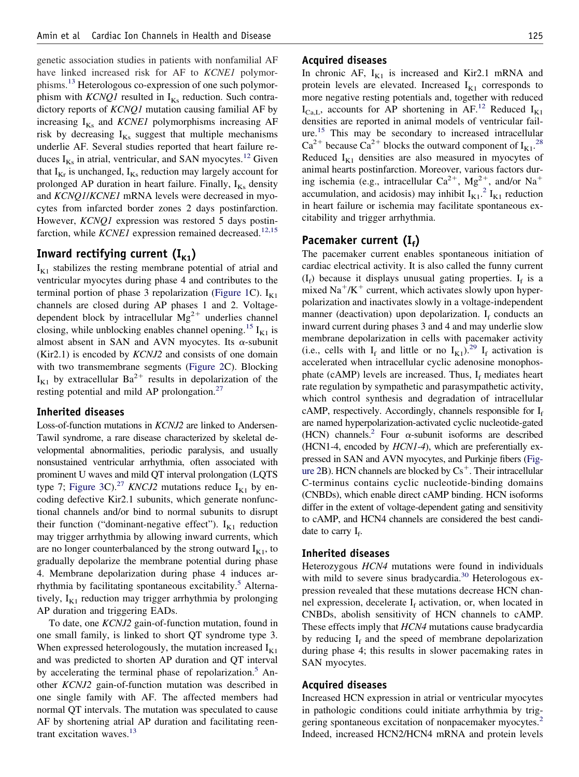genetic association studies in patients with nonfamilial AF have linked increased risk for AF to *KCNE1* polymor-phisms.<sup>[13](#page-9-0)</sup> Heterologous co-expression of one such polymorphism with *KCNQ1* resulted in  $I_{Ks}$  reduction. Such contradictory reports of *KCNQ1* mutation causing familial AF by increasing  $I_{Ks}$  and *KCNE1* polymorphisms increasing AF risk by decreasing  $I_{Ks}$  suggest that multiple mechanisms underlie AF. Several studies reported that heart failure reduces  $I_{Ks}$  in atrial, ventricular, and SAN myocytes.<sup>12</sup> Given that  $I_{Kr}$  is unchanged,  $I_{Ks}$  reduction may largely account for prolonged AP duration in heart failure. Finally,  $I_{Ks}$  density and *KCNQ1*/*KCNE1* mRNA levels were decreased in myocytes from infarcted border zones 2 days postinfarction. However, *KCNQ1* expression was restored 5 days postinfarction, while *KCNE1* expression remained decreased.<sup>[12,15](#page-9-0)</sup>

# Inward rectifying current  $(I_{K1})$

 $I_{K1}$  stabilizes the resting membrane potential of atrial and ventricular myocytes during phase 4 and contributes to the terminal portion of phase 3 repolarization [\(Figure 1C](#page-1-0)).  $I_{K1}$ channels are closed during AP phases 1 and 2. Voltagedependent block by intracellular  $Mg^{2+}$  underlies channel closing, while unblocking enables channel opening.<sup>[15](#page-9-0)</sup>  $I_{K1}$  is almost absent in SAN and AVN myocytes. Its  $\alpha$ -subunit (Kir2.1) is encoded by *KCNJ2* and consists of one domain with two transmembrane segments [\(Figure 2C](#page-2-0)). Blocking  $I_{K1}$  by extracellular Ba<sup>2+</sup> results in depolarization of the resting potential and mild AP prolongation[.27](#page-9-0)

# **Inherited diseases**

Loss-of-function mutations in *KCNJ2* are linked to Andersen-Tawil syndrome, a rare disease characterized by skeletal developmental abnormalities, periodic paralysis, and usually nonsustained ventricular arrhythmia, often associated with prominent U waves and mild QT interval prolongation (LQTS type 7; [Figure 3C](#page-3-0)).<sup>[27](#page-9-0)</sup> *KNCJ2* mutations reduce  $I_{K1}$  by encoding defective Kir2.1 subunits, which generate nonfunctional channels and/or bind to normal subunits to disrupt their function ("dominant-negative effect").  $I_{K1}$  reduction may trigger arrhythmia by allowing inward currents, which are no longer counterbalanced by the strong outward  $I_{K1}$ , to gradually depolarize the membrane potential during phase 4. Membrane depolarization during phase 4 induces ar-rhythmia by facilitating spontaneous excitability.<sup>[5](#page-9-0)</sup> Alternatively,  $I_{K1}$  reduction may trigger arrhythmia by prolonging AP duration and triggering EADs.

To date, one *KCNJ2* gain-of-function mutation, found in one small family, is linked to short QT syndrome type 3. When expressed heterologously, the mutation increased  $I_{K1}$ and was predicted to shorten AP duration and QT interval by accelerating the terminal phase of repolarization.<sup>[5](#page-9-0)</sup> Another *KCNJ2* gain-of-function mutation was described in one single family with AF. The affected members had normal QT intervals. The mutation was speculated to cause AF by shortening atrial AP duration and facilitating reentrant excitation waves. $13$ 

### **Acquired diseases**

In chronic AF,  $I_{K1}$  is increased and Kir2.1 mRNA and protein levels are elevated. Increased  $I_{K1}$  corresponds to more negative resting potentials and, together with reduced  $I_{Ca,L}$ , accounts for AP shortening in AF.<sup>[12](#page-9-0)</sup> Reduced  $I_{K1}$ densities are reported in animal models of ventricular failure.[15](#page-9-0) This may be secondary to increased intracellular  $Ca^{2+}$  because  $Ca^{2+}$  blocks the outward component of  $I_{K1}$ .<sup>[28](#page-9-0)</sup> Reduced  $I_{K1}$  densities are also measured in myocytes of animal hearts postinfarction. Moreover, various factors during ischemia (e.g., intracellular  $Ca^{2+}$ ,  $Mg^{2+}$ , and/or  $Na^{+}$ accumulation, and acidosis) may inhibit  $I_{K1}^2$  $I_{K1}^2$ .<sup>2</sup>  $I_{K1}$  reduction in heart failure or ischemia may facilitate spontaneous excitability and trigger arrhythmia.

# Pacemaker current (I<sub>f</sub>)

The pacemaker current enables spontaneous initiation of cardiac electrical activity. It is also called the funny current  $(I_f)$  because it displays unusual gating properties.  $I_f$  is a mixed  $\text{Na}^+/K^+$  current, which activates slowly upon hyperpolarization and inactivates slowly in a voltage-independent manner (deactivation) upon depolarization.  $I_f$  conducts an inward current during phases 3 and 4 and may underlie slow membrane depolarization in cells with pacemaker activity (i.e., cells with  $I_f$  and little or no  $I_{K1}$ ).<sup>[29](#page-9-0)</sup>  $I_f$  activation is accelerated when intracellular cyclic adenosine monophosphate (cAMP) levels are increased. Thus,  $I_f$  mediates heart rate regulation by sympathetic and parasympathetic activity, which control synthesis and degradation of intracellular cAMP, respectively. Accordingly, channels responsible for  $I_f$ are named hyperpolarization-activated cyclic nucleotide-gated (HCN) channels.<sup>2</sup> Four  $\alpha$ -subunit isoforms are described (HCN1-4, encoded by *HCN1-4*), which are preferentially expressed in SAN and AVN myocytes, and Purkinje fibers [\(Fig](#page-2-0)[ure 2B](#page-2-0)). HCN channels are blocked by  $Cs^+$ . Their intracellular C-terminus contains cyclic nucleotide-binding domains (CNBDs), which enable direct cAMP binding. HCN isoforms differ in the extent of voltage-dependent gating and sensitivity to cAMP, and HCN4 channels are considered the best candidate to carry  $I_f$ .

### **Inherited diseases**

Heterozygous *HCN4* mutations were found in individuals with mild to severe sinus bradycardia. $30$  Heterologous expression revealed that these mutations decrease HCN channel expression, decelerate  $I_f$  activation, or, when located in CNBDs, abolish sensitivity of HCN channels to cAMP. These effects imply that *HCN4* mutations cause bradycardia by reducing  $I_f$  and the speed of membrane depolarization during phase 4; this results in slower pacemaking rates in SAN myocytes.

### **Acquired diseases**

Increased HCN expression in atrial or ventricular myocytes in pathologic conditions could initiate arrhythmia by trig-gering spontaneous excitation of nonpacemaker myocytes.<sup>[2](#page-9-0)</sup> Indeed, increased HCN2/HCN4 mRNA and protein levels